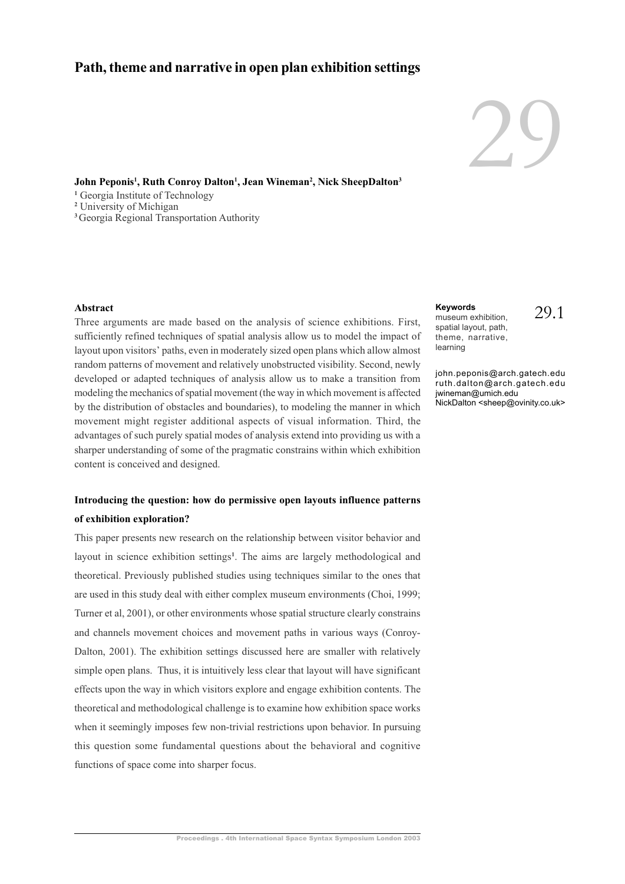# **Path, theme and narrative in open plan exhibition settings**

# 29

**John Peponis<sup>1</sup> , Ruth Conroy Dalton<sup>1</sup> , Jean Wineman<sup>2</sup> , Nick SheepDalton<sup>3</sup>**

<sup>1</sup> Georgia Institute of Technology

**2** University of Michigan

**<sup>3</sup>**Georgia Regional Transportation Authority

# **Abstract**

Three arguments are made based on the analysis of science exhibitions. First, sufficiently refined techniques of spatial analysis allow us to model the impact of layout upon visitors' paths, even in moderately sized open plans which allow almost random patterns of movement and relatively unobstructed visibility. Second, newly developed or adapted techniques of analysis allow us to make a transition from modeling the mechanics of spatial movement (the way in which movement is affected by the distribution of obstacles and boundaries), to modeling the manner in which movement might register additional aspects of visual information. Third, the advantages of such purely spatial modes of analysis extend into providing us with a sharper understanding of some of the pragmatic constrains within which exhibition content is conceived and designed.

# **Introducing the question: how do permissive open layouts influence patterns of exhibition exploration?**

This paper presents new research on the relationship between visitor behavior and layout in science exhibition settings**<sup>1</sup>** . The aims are largely methodological and theoretical. Previously published studies using techniques similar to the ones that are used in this study deal with either complex museum environments (Choi, 1999; Turner et al, 2001), or other environments whose spatial structure clearly constrains and channels movement choices and movement paths in various ways (Conroy-Dalton, 2001). The exhibition settings discussed here are smaller with relatively simple open plans. Thus, it is intuitively less clear that layout will have significant effects upon the way in which visitors explore and engage exhibition contents. The theoretical and methodological challenge is to examine how exhibition space works when it seemingly imposes few non-trivial restrictions upon behavior. In pursuing this question some fundamental questions about the behavioral and cognitive functions of space come into sharper focus.

### **Keywords**

museum exhibition, spatial layout, path, theme, narrative, learning

29.1

john.peponis@arch.gatech.edu ruth.dalton@arch.gatech.edu jwineman@umich.edu NickDalton <sheep@ovinity.co.uk>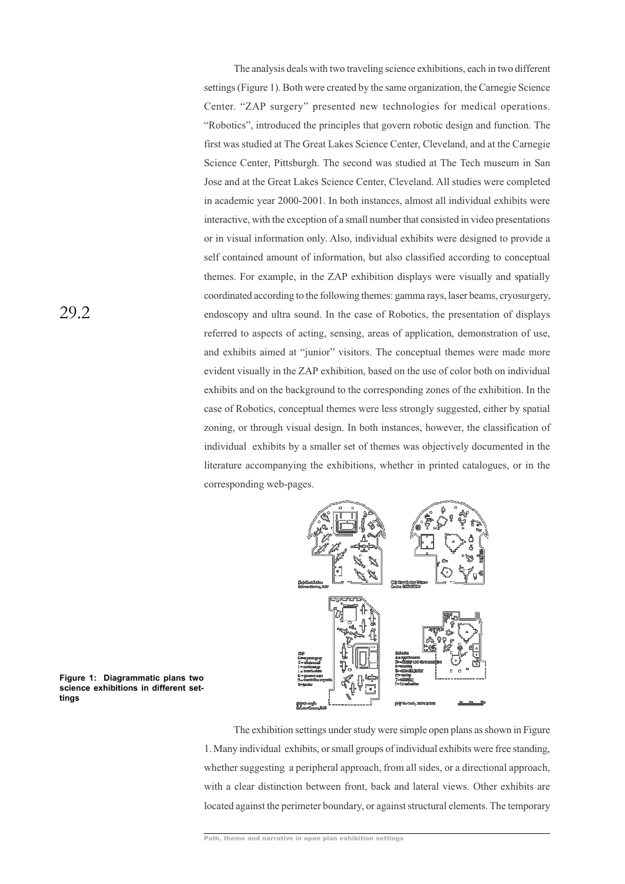The analysis deals with two traveling science exhibitions, each in two different settings (Figure 1). Both were created by the same organization, the Carnegie Science Center. "ZAP surgery" presented new technologies for medical operations. "Robotics", introduced the principles that govern robotic design and function. The first was studied at The Great Lakes Science Center, Cleveland, and at the Carnegie Science Center, Pittsburgh. The second was studied at The Tech museum in San Jose and at the Great Lakes Science Center, Cleveland. All studies were completed in academic year 2000-2001. In both instances, almost all individual exhibits were interactive, with the exception of a small number that consisted in video presentations or in visual information only. Also, individual exhibits were designed to provide a self contained amount of information, but also classified according to conceptual themes. For example, in the ZAP exhibition displays were visually and spatially coordinated according to the following themes: gamma rays, laser beams, cryosurgery, endoscopy and ultra sound. In the case of Robotics, the presentation of displays referred to aspects of acting, sensing, areas of application, demonstration of use, and exhibits aimed at "junior" visitors. The conceptual themes were made more evident visually in the ZAP exhibition, based on the use of color both on individual exhibits and on the background to the corresponding zones of the exhibition. In the case of Robotics, conceptual themes were less strongly suggested, either by spatial zoning, or through visual design. In both instances, however, the classification of individual exhibits by a smaller set of themes was objectively documented in the literature accompanying the exhibitions, whether in printed catalogues, or in the corresponding web-pages.



**Figure 1: Diagrammatic plans two science exhibitions in different settings**

The exhibition settings under study were simple open plans as shown in Figure 1. Many individual exhibits, or small groups of individual exhibits were free standing, whether suggesting a peripheral approach, from all sides, or a directional approach, with a clear distinction between front, back and lateral views. Other exhibits are located against the perimeter boundary, or against structural elements. The temporary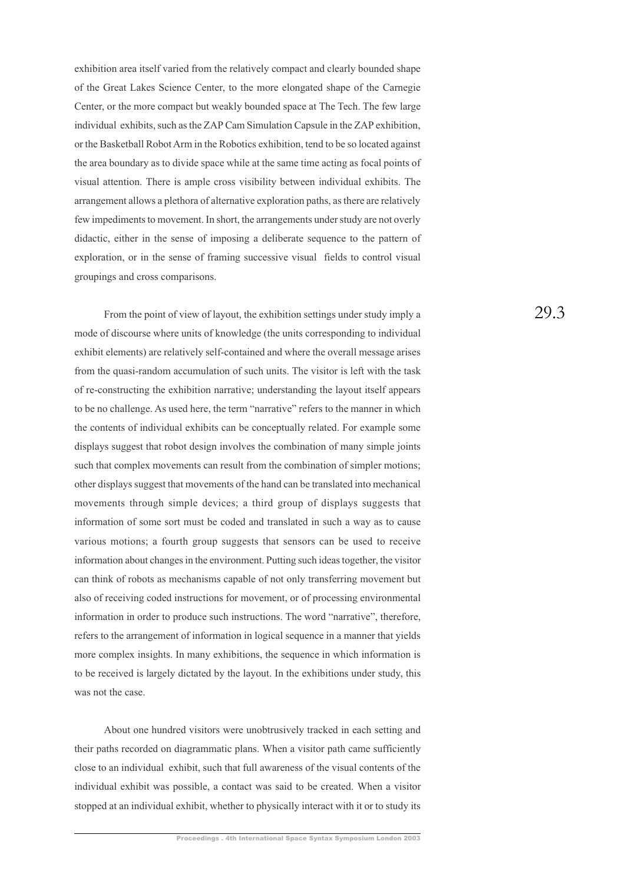exhibition area itself varied from the relatively compact and clearly bounded shape of the Great Lakes Science Center, to the more elongated shape of the Carnegie Center, or the more compact but weakly bounded space at The Tech. The few large individual exhibits, such as the ZAP Cam Simulation Capsule in the ZAP exhibition, or the Basketball Robot Arm in the Robotics exhibition, tend to be so located against the area boundary as to divide space while at the same time acting as focal points of visual attention. There is ample cross visibility between individual exhibits. The arrangement allows a plethora of alternative exploration paths, as there are relatively few impediments to movement. In short, the arrangements under study are not overly didactic, either in the sense of imposing a deliberate sequence to the pattern of exploration, or in the sense of framing successive visual fields to control visual groupings and cross comparisons.

From the point of view of layout, the exhibition settings under study imply a mode of discourse where units of knowledge (the units corresponding to individual exhibit elements) are relatively self-contained and where the overall message arises from the quasi-random accumulation of such units. The visitor is left with the task of re-constructing the exhibition narrative; understanding the layout itself appears to be no challenge. As used here, the term "narrative" refers to the manner in which the contents of individual exhibits can be conceptually related. For example some displays suggest that robot design involves the combination of many simple joints such that complex movements can result from the combination of simpler motions; other displays suggest that movements of the hand can be translated into mechanical movements through simple devices; a third group of displays suggests that information of some sort must be coded and translated in such a way as to cause various motions; a fourth group suggests that sensors can be used to receive information about changes in the environment. Putting such ideas together, the visitor can think of robots as mechanisms capable of not only transferring movement but also of receiving coded instructions for movement, or of processing environmental information in order to produce such instructions. The word "narrative", therefore, refers to the arrangement of information in logical sequence in a manner that yields more complex insights. In many exhibitions, the sequence in which information is to be received is largely dictated by the layout. In the exhibitions under study, this was not the case.

About one hundred visitors were unobtrusively tracked in each setting and their paths recorded on diagrammatic plans. When a visitor path came sufficiently close to an individual exhibit, such that full awareness of the visual contents of the individual exhibit was possible, a contact was said to be created. When a visitor stopped at an individual exhibit, whether to physically interact with it or to study its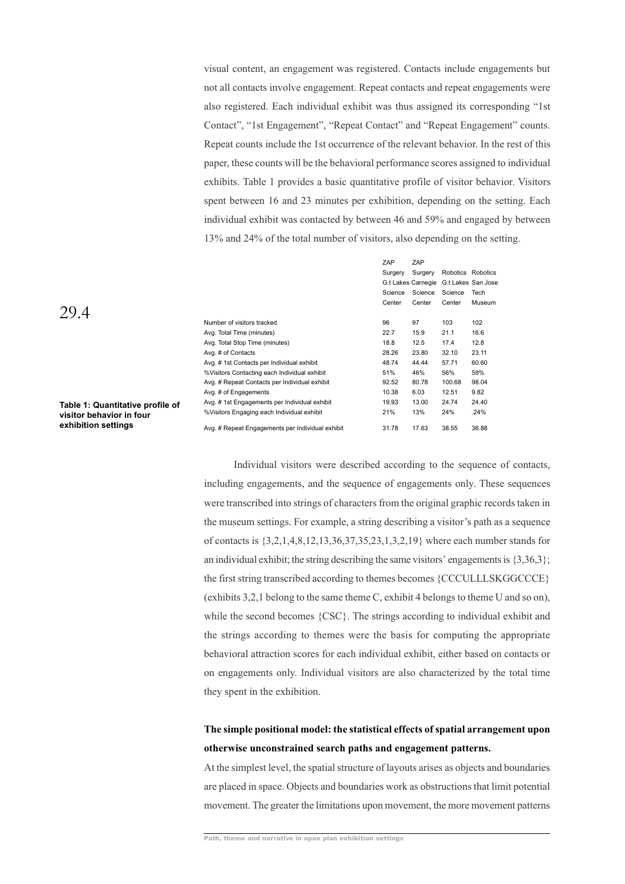visual content, an engagement was registered. Contacts include engagements but not all contacts involve engagement. Repeat contacts and repeat engagements were also registered. Each individual exhibit was thus assigned its corresponding "1st Contact", "1st Engagement", "Repeat Contact" and "Repeat Engagement" counts. Repeat counts include the 1st occurrence of the relevant behavior. In the rest of this paper, these counts will be the behavioral performance scores assigned to individual exhibits. Table 1 provides a basic quantitative profile of visitor behavior. Visitors spent between 16 and 23 minutes per exhibition, depending on the setting. Each individual exhibit was contacted by between 46 and 59% and engaged by between 13% and 24% of the total number of visitors, also depending on the setting.

|                                                  | ZAP<br>Surgery<br>Science<br>Center | ZAP<br>Surgery<br>G.t Lakes Carnegie<br>Science<br>Center | Science<br>Center | Robotics Robotics<br>G.t Lakes San Jose<br>Tech<br>Museum |
|--------------------------------------------------|-------------------------------------|-----------------------------------------------------------|-------------------|-----------------------------------------------------------|
| Number of visitors tracked                       | 96                                  | 97                                                        | 103               | 102                                                       |
| Avg. Total Time (minutes)                        | 22.7                                | 15.9                                                      | 21.1              | 16.6                                                      |
| Avg. Total Stop Time (minutes)                   | 18.8                                | 12.5                                                      | 17.4              | 12.8                                                      |
| Avg. # of Contacts                               | 28.26                               | 23.80                                                     | 32.10             | 23.11                                                     |
| Avg. #1st Contacts per Individual exhibit        | 48.74                               | 44.44                                                     | 57.71             | 60.60                                                     |
| % Visitors Contacting each Individual exhibit    | 51%                                 | 46%                                                       | 56%               | 59%                                                       |
| Avg. # Repeat Contacts per Individual exhibit    | 92.52                               | 80.78                                                     | 100.68            | 98.04                                                     |
| Avg. # of Engagements                            | 10.38                               | 6.03                                                      | 12.51             | 9.82                                                      |
| Avg. #1st Engagements per Individual exhibit     | 19.93                               | 13.00                                                     | 24.74             | 24.40                                                     |
| % Visitors Engaging each Individual exhibit      | 21%                                 | 13%                                                       | 24%               | .24%                                                      |
| Avg. # Repeat Engagements per Individual exhibit | 31.78                               | 17.63                                                     | 38.55             | 36.88                                                     |

**Table 1: Quantitative profile of visitor behavior in four exhibition settings**

> Individual visitors were described according to the sequence of contacts, including engagements, and the sequence of engagements only. These sequences were transcribed into strings of characters from the original graphic records taken in the museum settings. For example, a string describing a visitor's path as a sequence of contacts is {3,2,1,4,8,12,13,36,37,35,23,1,3,2,19} where each number stands for an individual exhibit; the string describing the same visitors' engagements is  $\{3,36,3\}$ ; the first string transcribed according to themes becomes {CCCULLLSKGGCCCE} (exhibits 3,2,1 belong to the same theme C, exhibit 4 belongs to theme U and so on), while the second becomes  ${CSC}$ . The strings according to individual exhibit and the strings according to themes were the basis for computing the appropriate behavioral attraction scores for each individual exhibit, either based on contacts or on engagements only. Individual visitors are also characterized by the total time they spent in the exhibition.

# **The simple positional model: the statistical effects of spatial arrangement upon otherwise unconstrained search paths and engagement patterns.**

At the simplest level, the spatial structure of layouts arises as objects and boundaries are placed in space. Objects and boundaries work as obstructions that limit potential movement. The greater the limitations upon movement, the more movement patterns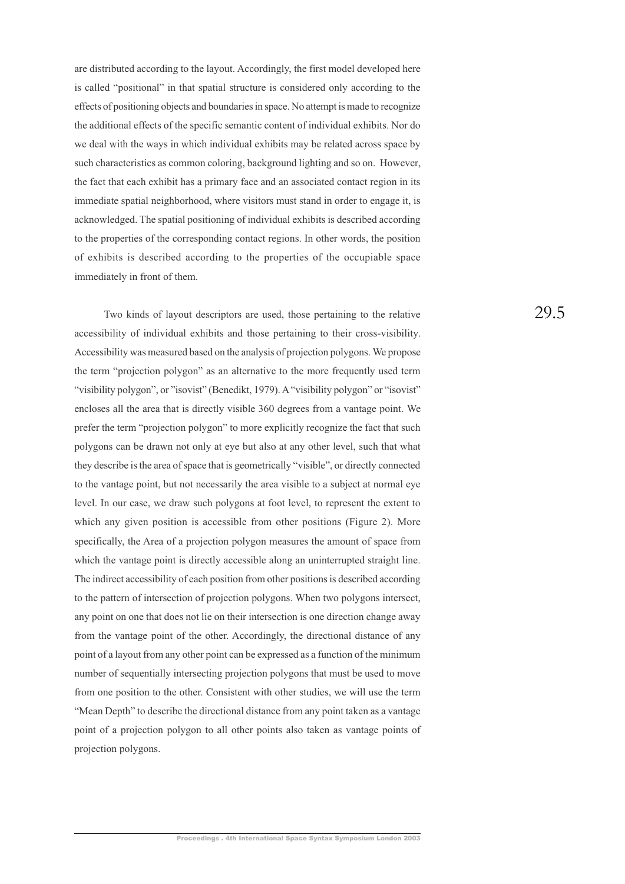are distributed according to the layout. Accordingly, the first model developed here is called "positional" in that spatial structure is considered only according to the effects of positioning objects and boundaries in space. No attempt is made to recognize the additional effects of the specific semantic content of individual exhibits. Nor do we deal with the ways in which individual exhibits may be related across space by such characteristics as common coloring, background lighting and so on. However, the fact that each exhibit has a primary face and an associated contact region in its immediate spatial neighborhood, where visitors must stand in order to engage it, is acknowledged. The spatial positioning of individual exhibits is described according to the properties of the corresponding contact regions. In other words, the position of exhibits is described according to the properties of the occupiable space immediately in front of them.

Two kinds of layout descriptors are used, those pertaining to the relative accessibility of individual exhibits and those pertaining to their cross-visibility. Accessibility was measured based on the analysis of projection polygons. We propose the term "projection polygon" as an alternative to the more frequently used term "visibility polygon", or "isovist" (Benedikt, 1979). A "visibility polygon" or "isovist" encloses all the area that is directly visible 360 degrees from a vantage point. We prefer the term "projection polygon" to more explicitly recognize the fact that such polygons can be drawn not only at eye but also at any other level, such that what they describe is the area of space that is geometrically "visible", or directly connected to the vantage point, but not necessarily the area visible to a subject at normal eye level. In our case, we draw such polygons at foot level, to represent the extent to which any given position is accessible from other positions (Figure 2). More specifically, the Area of a projection polygon measures the amount of space from which the vantage point is directly accessible along an uninterrupted straight line. The indirect accessibility of each position from other positions is described according to the pattern of intersection of projection polygons. When two polygons intersect, any point on one that does not lie on their intersection is one direction change away from the vantage point of the other. Accordingly, the directional distance of any point of a layout from any other point can be expressed as a function of the minimum number of sequentially intersecting projection polygons that must be used to move from one position to the other. Consistent with other studies, we will use the term "Mean Depth" to describe the directional distance from any point taken as a vantage point of a projection polygon to all other points also taken as vantage points of projection polygons.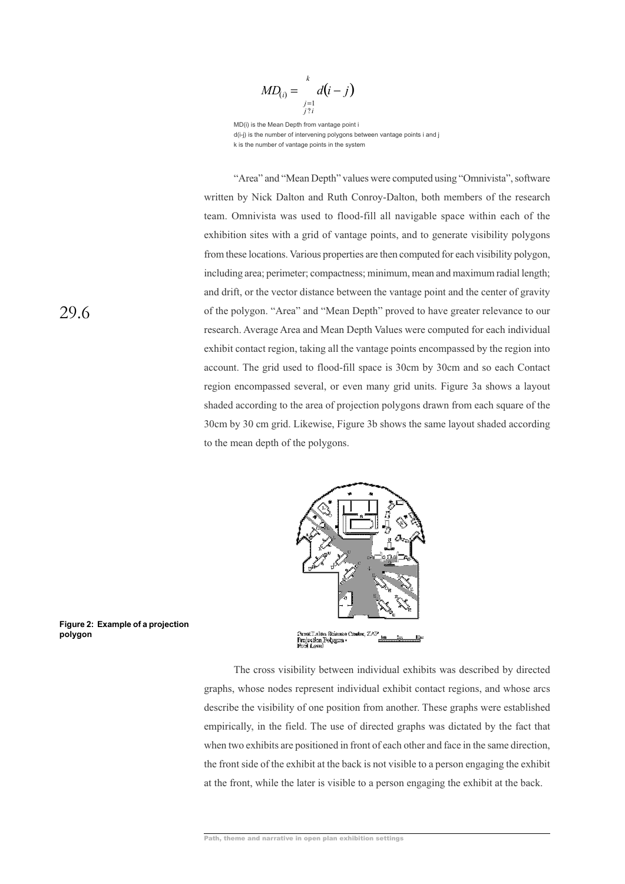$$
MD_{(i)} = \sum_{\substack{j=1 \ j \nmid i}}^{k} d(i-j)
$$

MD(i) is the Mean Depth from vantage point i d(i-j) is the number of intervening polygons between vantage points i and j k is the number of vantage points in the system

"Area" and "Mean Depth" values were computed using "Omnivista", software written by Nick Dalton and Ruth Conroy-Dalton, both members of the research team. Omnivista was used to flood-fill all navigable space within each of the exhibition sites with a grid of vantage points, and to generate visibility polygons from these locations. Various properties are then computed for each visibility polygon, including area; perimeter; compactness; minimum, mean and maximum radial length; and drift, or the vector distance between the vantage point and the center of gravity of the polygon. "Area" and "Mean Depth" proved to have greater relevance to our research. Average Area and Mean Depth Values were computed for each individual exhibit contact region, taking all the vantage points encompassed by the region into account. The grid used to flood-fill space is 30cm by 30cm and so each Contact region encompassed several, or even many grid units. Figure 3a shows a layout shaded according to the area of projection polygons drawn from each square of the 30cm by 30 cm grid. Likewise, Figure 3b shows the same layout shaded according to the mean depth of the polygons.



**Figure 2: Example of a projection polygon**

> The cross visibility between individual exhibits was described by directed graphs, whose nodes represent individual exhibit contact regions, and whose arcs describe the visibility of one position from another. These graphs were established empirically, in the field. The use of directed graphs was dictated by the fact that when two exhibits are positioned in front of each other and face in the same direction, the front side of the exhibit at the back is not visible to a person engaging the exhibit at the front, while the later is visible to a person engaging the exhibit at the back.

Path, theme and narrative in open plan exhibition settings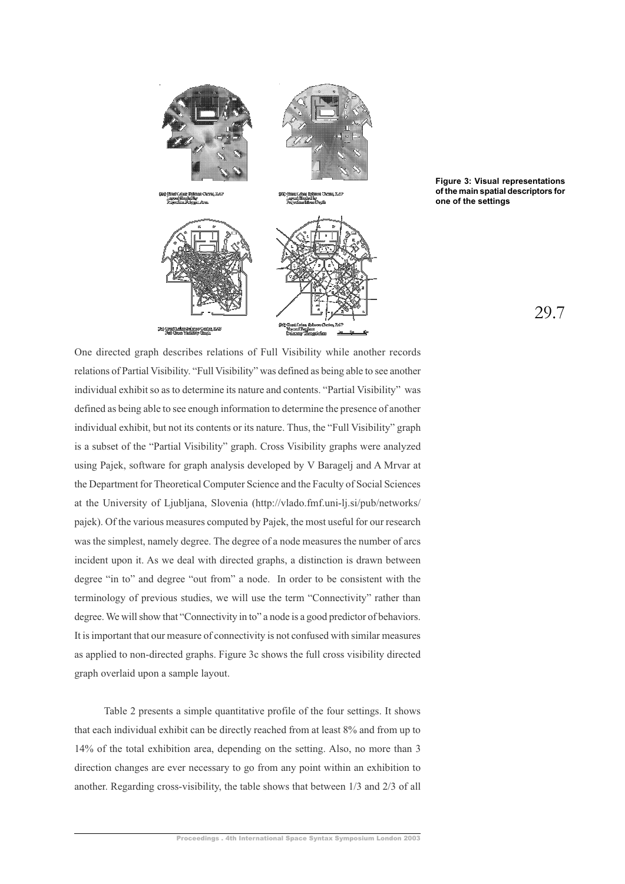



29.7

One directed graph describes relations of Full Visibility while another records relations of Partial Visibility. "Full Visibility" was defined as being able to see another individual exhibit so as to determine its nature and contents. "Partial Visibility" was defined as being able to see enough information to determine the presence of another individual exhibit, but not its contents or its nature. Thus, the "Full Visibility" graph is a subset of the "Partial Visibility" graph. Cross Visibility graphs were analyzed using Pajek, software for graph analysis developed by V Baragelj and A Mrvar at the Department for Theoretical Computer Science and the Faculty of Social Sciences at the University of Ljubljana, Slovenia (http://vlado.fmf.uni-lj.si/pub/networks/ pajek). Of the various measures computed by Pajek, the most useful for our research was the simplest, namely degree. The degree of a node measures the number of arcs incident upon it. As we deal with directed graphs, a distinction is drawn between degree "in to" and degree "out from" a node. In order to be consistent with the terminology of previous studies, we will use the term "Connectivity" rather than degree. We will show that "Connectivity in to" a node is a good predictor of behaviors. It is important that our measure of connectivity is not confused with similar measures as applied to non-directed graphs. Figure 3c shows the full cross visibility directed graph overlaid upon a sample layout.

Table 2 presents a simple quantitative profile of the four settings. It shows that each individual exhibit can be directly reached from at least 8% and from up to 14% of the total exhibition area, depending on the setting. Also, no more than 3 direction changes are ever necessary to go from any point within an exhibition to another. Regarding cross-visibility, the table shows that between 1/3 and 2/3 of all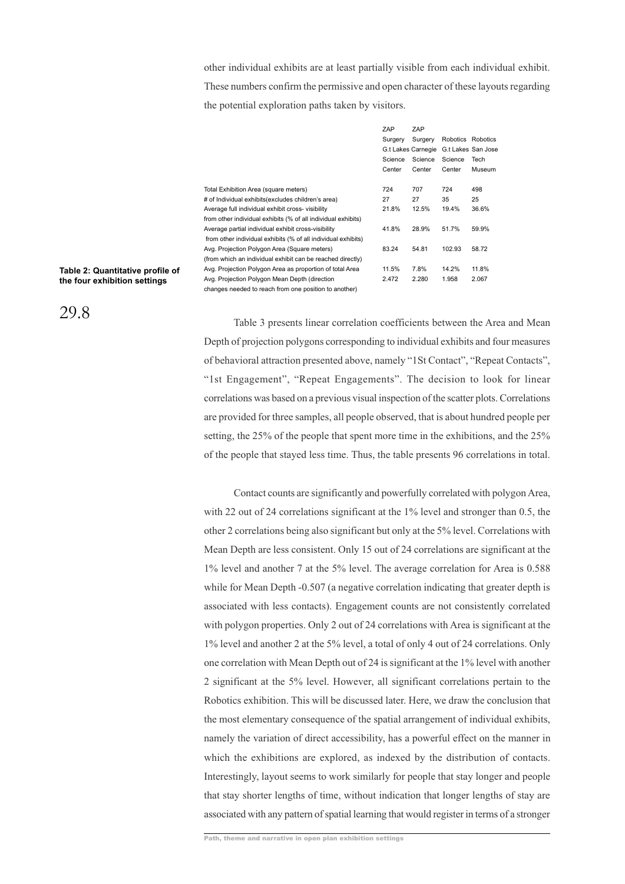other individual exhibits are at least partially visible from each individual exhibit. These numbers confirm the permissive and open character of these layouts regarding the potential exploration paths taken by visitors.

|                                                               | ZAP                | ZAP     |                    |        |
|---------------------------------------------------------------|--------------------|---------|--------------------|--------|
|                                                               | Surgery            | Surgery | Robotics Robotics  |        |
|                                                               | G.t Lakes Carnegie |         | G.t Lakes San Jose |        |
|                                                               | Science            | Science | Science            | Tech   |
|                                                               | Center             | Center  | Center             | Museum |
| Total Exhibition Area (square meters)                         | 724                | 707     | 724                | 498    |
| # of Individual exhibits(excludes children's area)            | 27                 | 27      | 35                 | 25     |
| Average full individual exhibit cross- visibility             | 21.8%              | 12.5%   | 19.4%              | 36.6%  |
| from other individual exhibits (% of all individual exhibits) |                    |         |                    |        |
| Average partial individual exhibit cross-visibility           | 41.8%              | 28.9%   | 51.7%              | 59.9%  |
| from other individual exhibits (% of all individual exhibits) |                    |         |                    |        |
| Avg. Projection Polygon Area (Square meters)                  | 83.24              | 54.81   | 102.93             | 58.72  |
| (from which an individual exhibit can be reached directly)    |                    |         |                    |        |
| Avg. Projection Polygon Area as proportion of total Area      | 11.5%              | 7.8%    | 14.2%              | 11.8%  |
| Avg. Projection Polygon Mean Depth (direction                 | 2.472              | 2.280   | 1.958              | 2.067  |
| changes needed to reach from one position to another)         |                    |         |                    |        |

### **Table 2: Quantitative profile of the four exhibition settings**

29.8

Table 3 presents linear correlation coefficients between the Area and Mean Depth of projection polygons corresponding to individual exhibits and four measures of behavioral attraction presented above, namely "1St Contact", "Repeat Contacts", "1st Engagement", "Repeat Engagements". The decision to look for linear correlations was based on a previous visual inspection of the scatter plots. Correlations are provided for three samples, all people observed, that is about hundred people per setting, the 25% of the people that spent more time in the exhibitions, and the 25% of the people that stayed less time. Thus, the table presents 96 correlations in total.

Contact counts are significantly and powerfully correlated with polygon Area, with 22 out of 24 correlations significant at the 1% level and stronger than 0.5, the other 2 correlations being also significant but only at the 5% level. Correlations with Mean Depth are less consistent. Only 15 out of 24 correlations are significant at the 1% level and another 7 at the 5% level. The average correlation for Area is 0.588 while for Mean Depth -0.507 (a negative correlation indicating that greater depth is associated with less contacts). Engagement counts are not consistently correlated with polygon properties. Only 2 out of 24 correlations with Area is significant at the 1% level and another 2 at the 5% level, a total of only 4 out of 24 correlations. Only one correlation with Mean Depth out of 24 is significant at the 1% level with another 2 significant at the 5% level. However, all significant correlations pertain to the Robotics exhibition. This will be discussed later. Here, we draw the conclusion that the most elementary consequence of the spatial arrangement of individual exhibits, namely the variation of direct accessibility, has a powerful effect on the manner in which the exhibitions are explored, as indexed by the distribution of contacts. Interestingly, layout seems to work similarly for people that stay longer and people that stay shorter lengths of time, without indication that longer lengths of stay are associated with any pattern of spatial learning that would register in terms of a stronger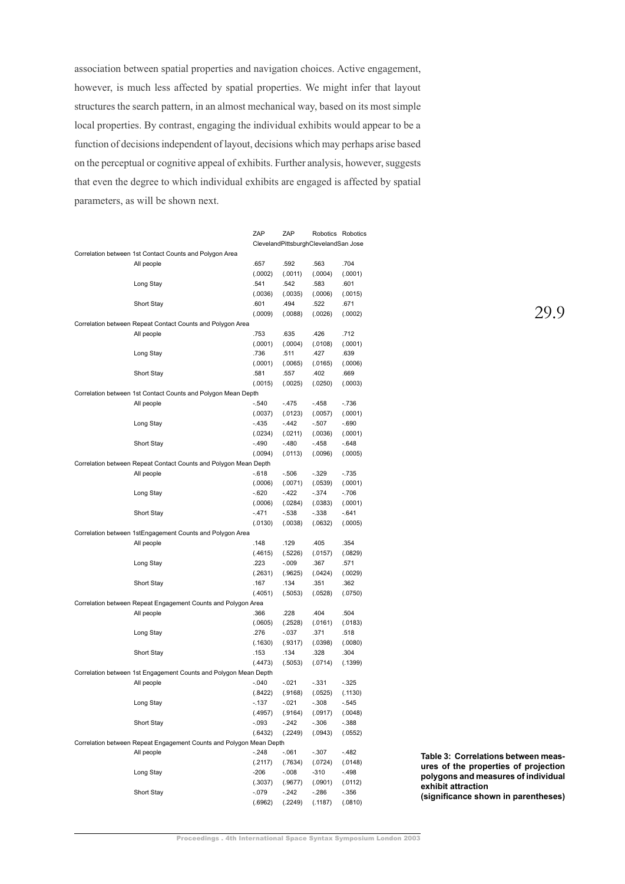association between spatial properties and navigation choices. Active engagement, however, is much less affected by spatial properties. We might infer that layout structures the search pattern, in an almost mechanical way, based on its most simple local properties. By contrast, engaging the individual exhibits would appear to be a function of decisions independent of layout, decisions which may perhaps arise based on the perceptual or cognitive appeal of exhibits. Further analysis, however, suggests that even the degree to which individual exhibits are engaged is affected by spatial parameters, as will be shown next.

|                                                                     | ZAP     | ZAP                                  |         | Robotics Robotics |
|---------------------------------------------------------------------|---------|--------------------------------------|---------|-------------------|
|                                                                     |         | ClevelandPittsburghClevelandSan Jose |         |                   |
| Correlation between 1st Contact Counts and Polygon Area             |         |                                      |         |                   |
| All people                                                          | .657    | .592                                 | .563    | .704              |
|                                                                     | (.0002) | (.0011)                              | (.0004) | (.0001)           |
| Long Stay                                                           | .541    | .542                                 | .583    | .601              |
|                                                                     | (.0036) | (.0035)                              | (.0006) | (.0015)           |
| Short Stay                                                          | .601    | .494                                 | .522    | .671              |
|                                                                     | (.0009) | (.0088)                              | (.0026) | (.0002)           |
| Correlation between Repeat Contact Counts and Polygon Area          |         |                                      |         |                   |
| All people                                                          | .753    | .635                                 | .426    | .712              |
|                                                                     | (.0001) | (.0004)                              | (.0108) | (.0001)           |
| Long Stay                                                           | .736    | .511                                 | .427    | .639              |
|                                                                     |         |                                      |         |                   |
|                                                                     | (.0001) | (.0065)                              | (.0165) | (.0006)           |
| Short Stay                                                          | .581    | .557                                 | .402    | .669              |
|                                                                     | (.0015) | (.0025)                              | (.0250) | (.0003)           |
| Correlation between 1st Contact Counts and Polygon Mean Depth       |         |                                      |         |                   |
| All people                                                          | $-.540$ | $-.475$                              | $-.458$ | $-.736$           |
|                                                                     | (.0037) | (.0123)                              | (.0057) | (.0001)           |
| Long Stay                                                           | $-.435$ | $-.442$                              | $-.507$ | $-.690$           |
|                                                                     | (.0234) | (.0211)                              | (.0036) | (.0001)           |
| Short Stay                                                          | $-.490$ | $-.480$                              | $-.458$ | $-.648$           |
|                                                                     | (.0094) | (.0113)                              | (.0096) | (.0005)           |
| Correlation between Repeat Contact Counts and Polygon Mean Depth    |         |                                      |         |                   |
| All people                                                          | $-618$  | $-.506$                              | $-.329$ | $-.735$           |
|                                                                     | (.0006) | (.0071)                              | (.0539) | (.0001)           |
| Long Stay                                                           | $-.620$ | $-.422$                              | $-.374$ | $-.706$           |
|                                                                     | (.0006) | (.0284)                              | (.0383) | (.0001)           |
| Short Stay                                                          | $-.471$ | $-.538$                              | $-.338$ | $-.641$           |
|                                                                     | (.0130) | (.0038)                              | (.0632) | (.0005)           |
| Correlation between 1stEngagement Counts and Polygon Area           |         |                                      |         |                   |
| All people                                                          | .148    | .129                                 | .405    | .354              |
|                                                                     |         |                                      |         |                   |
|                                                                     | (.4615) | (.5226)                              | (.0157) | (.0829)           |
| Long Stay                                                           | .223    | $-.009$                              | .367    | .571              |
|                                                                     | (.2631) | (.9625)                              | (.0424) | (.0029)           |
| Short Stay                                                          | .167    | .134                                 | .351    | .362              |
|                                                                     | (.4051) | (.5053)                              | (.0528) | (.0750)           |
| Correlation between Repeat Engagement Counts and Polygon Area       |         |                                      |         |                   |
| All people                                                          | .366    | .228                                 | .404    | .504              |
|                                                                     | (.0605) | (.2528)                              | (.0161) | (.0183)           |
| Long Stay                                                           | .276    | $-.037$                              | .371    | .518              |
|                                                                     | (.1630) | (.9317)                              | (.0398) | (.0080)           |
| Short Stay                                                          | .153    | .134                                 | .328    | .304              |
|                                                                     | (.4473) | (.5053)                              | (.0714) | (.1399)           |
| Correlation between 1st Engagement Counts and Polygon Mean Depth    |         |                                      |         |                   |
| All people                                                          | $-.040$ | $-.021$                              | $-.331$ | $-.325$           |
|                                                                     | (.8422) | (.9168)                              | (.0525) | (.1130)           |
| Long Stay                                                           | $-.137$ | $-.021$                              | -.308   | -.545             |
|                                                                     | (.4957) | (.9164)                              | (.0917) | (.0048)           |
| Short Stay                                                          | $-.093$ | $-.242$                              | $-.306$ | $-.388$           |
|                                                                     | (.6432) | (.2249)                              | (.0943) | (.0552)           |
| Correlation between Repeat Engagement Counts and Polygon Mean Depth |         |                                      |         |                   |
| All people                                                          | $-.248$ | $-.061$                              | -.307   | $-.482$           |
|                                                                     |         |                                      |         |                   |
|                                                                     | (.2117) | (.7634)                              | (.0724) | (.0148)           |
| Long Stay                                                           | $-206$  | $-0.008$                             | $-310$  | $-.498$           |
|                                                                     | (.3037) | (.9677)                              | (.0901) | (.0112)           |
| Short Stay                                                          | $-.079$ | $-.242$                              | -.286   | $-.356$           |
|                                                                     | (.6962) | (.2249)                              | (.1187) | (.0810)           |

**Table 3: Correlations between measures of the properties of projection polygons and measures of individual exhibit attraction**

**(significance shown in parentheses)**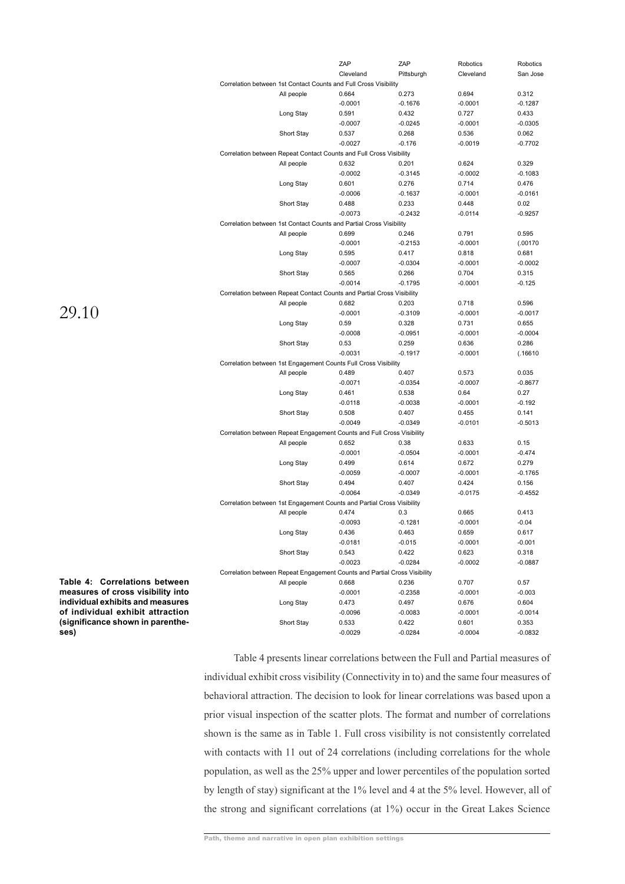|            | ZAP                                                                       | ZAP                | Robotics  | Robotics  |
|------------|---------------------------------------------------------------------------|--------------------|-----------|-----------|
|            | Cleveland                                                                 | Pittsburgh         | Cleveland | San Jose  |
|            | Correlation between 1st Contact Counts and Full Cross Visibility          |                    |           |           |
| All people | 0.664                                                                     | 0.273              | 0.694     | 0.312     |
|            | $-0.0001$                                                                 | $-0.1676$          | $-0.0001$ | $-0.1287$ |
| Long Stay  | 0.591                                                                     | 0.432              | 0.727     | 0.433     |
|            | $-0.0007$                                                                 | $-0.0245$          | $-0.0001$ | $-0.0305$ |
| Short Stay | 0.537                                                                     | 0.268              | 0.536     | 0.062     |
|            | $-0.0027$                                                                 | $-0.176$           | $-0.0019$ | $-0.7702$ |
|            | Correlation between Repeat Contact Counts and Full Cross Visibility       |                    |           |           |
| All people | 0.632                                                                     | 0.201              | 0.624     | 0.329     |
|            | $-0.0002$                                                                 | $-0.3145$          | $-0.0002$ | $-0.1083$ |
| Long Stay  | 0.601                                                                     | 0.276              | 0.714     | 0.476     |
|            | $-0.0006$                                                                 | $-0.1637$          | $-0.0001$ | $-0.0161$ |
| Short Stay | 0.488                                                                     | 0.233              | 0.448     | 0.02      |
|            | $-0.0073$                                                                 | $-0.2432$          | $-0.0114$ | $-0.9257$ |
|            | Correlation between 1st Contact Counts and Partial Cross Visibility       |                    |           |           |
| All people | 0.699                                                                     | 0.246              | 0.791     | 0.595     |
|            | $-0.0001$                                                                 | $-0.2153$          | $-0.0001$ | (.00170   |
| Long Stay  | 0.595                                                                     | 0.417              | 0.818     | 0.681     |
|            | $-0.0007$                                                                 | $-0.0304$          | $-0.0001$ | $-0.0002$ |
| Short Stay | 0.565                                                                     | 0.266              | 0.704     | 0.315     |
|            | $-0.0014$                                                                 | $-0.1795$          | $-0.0001$ | $-0.125$  |
|            | Correlation between Repeat Contact Counts and Partial Cross Visibility    |                    |           |           |
| All people | 0.682                                                                     | 0.203              | 0.718     | 0.596     |
|            | $-0.0001$                                                                 | $-0.3109$          | $-0.0001$ | $-0.0017$ |
|            | 0.59                                                                      | 0.328              | 0.731     | 0.655     |
| Long Stay  |                                                                           |                    | $-0.0001$ |           |
|            | $-0.0008$                                                                 | $-0.0951$          |           | $-0.0004$ |
| Short Stay | 0.53                                                                      | 0.259<br>$-0.1917$ | 0.636     | 0.286     |
|            | $-0.0031$                                                                 |                    | $-0.0001$ | (.16610   |
|            | Correlation between 1st Engagement Counts Full Cross Visibility           |                    |           |           |
| All people | 0.489                                                                     | 0.407              | 0.573     | 0.035     |
|            | $-0.0071$                                                                 | $-0.0354$          | $-0.0007$ | $-0.8677$ |
| Long Stay  | 0.461                                                                     | 0.538              | 0.64      | 0.27      |
|            | $-0.0118$                                                                 | $-0.0038$          | $-0.0001$ | $-0.192$  |
| Short Stay | 0.508                                                                     | 0.407              | 0.455     | 0.141     |
|            | $-0.0049$                                                                 | $-0.0349$          | $-0.0101$ | $-0.5013$ |
|            | Correlation between Repeat Engagement Counts and Full Cross Visibility    |                    |           |           |
| All people | 0.652                                                                     | 0.38               | 0.633     | 0.15      |
|            | $-0.0001$                                                                 | $-0.0504$          | $-0.0001$ | -0.474    |
| Long Stay  | 0.499                                                                     | 0.614              | 0.672     | 0.279     |
|            | $-0.0059$                                                                 | $-0.0007$          | $-0.0001$ | $-0.1765$ |
| Short Stay | 0.494                                                                     | 0.407              | 0.424     | 0.156     |
|            | $-0.0064$                                                                 | $-0.0349$          | $-0.0175$ | $-0.4552$ |
|            | Correlation between 1st Engagement Counts and Partial Cross Visibility    |                    |           |           |
| All people | 0.474                                                                     | 0.3                | 0.665     | 0.413     |
|            | $-0.0093$                                                                 | $-0.1281$          | $-0.0001$ | $-0.04$   |
| Long Stay  | 0.436                                                                     | 0.463              | 0.659     | 0.617     |
|            | $-0.0181$                                                                 | $-0.015$           | $-0.0001$ | $-0.001$  |
| Short Stay | 0.543                                                                     | 0.422              | 0.623     | 0.318     |
|            | $-0.0023$                                                                 | $-0.0284$          | $-0.0002$ | $-0.0887$ |
|            | Correlation between Repeat Engagement Counts and Partial Cross Visibility |                    |           |           |
| All people | 0.668                                                                     | 0.236              | 0.707     | 0.57      |
|            | $-0.0001$                                                                 | $-0.2358$          | $-0.0001$ | $-0.003$  |
| Long Stay  | 0.473                                                                     | 0.497              | 0.676     | 0.604     |
|            | $-0.0096$                                                                 | $-0.0083$          | $-0.0001$ | $-0.0014$ |
| Short Stay | 0.533                                                                     | 0.422              | 0.601     | 0.353     |
|            | $-0.0029$                                                                 | $-0.0284$          | $-0.0004$ | $-0.0832$ |

**Table 4: Correlations between measures of cross visibility into individual exhibits and measures of individual exhibit attraction (significance shown in parentheses)**

> Table 4 presents linear correlations between the Full and Partial measures of individual exhibit cross visibility (Connectivity in to) and the same four measures of behavioral attraction. The decision to look for linear correlations was based upon a prior visual inspection of the scatter plots. The format and number of correlations shown is the same as in Table 1. Full cross visibility is not consistently correlated with contacts with 11 out of 24 correlations (including correlations for the whole population, as well as the 25% upper and lower percentiles of the population sorted by length of stay) significant at the 1% level and 4 at the 5% level. However, all of the strong and significant correlations (at 1%) occur in the Great Lakes Science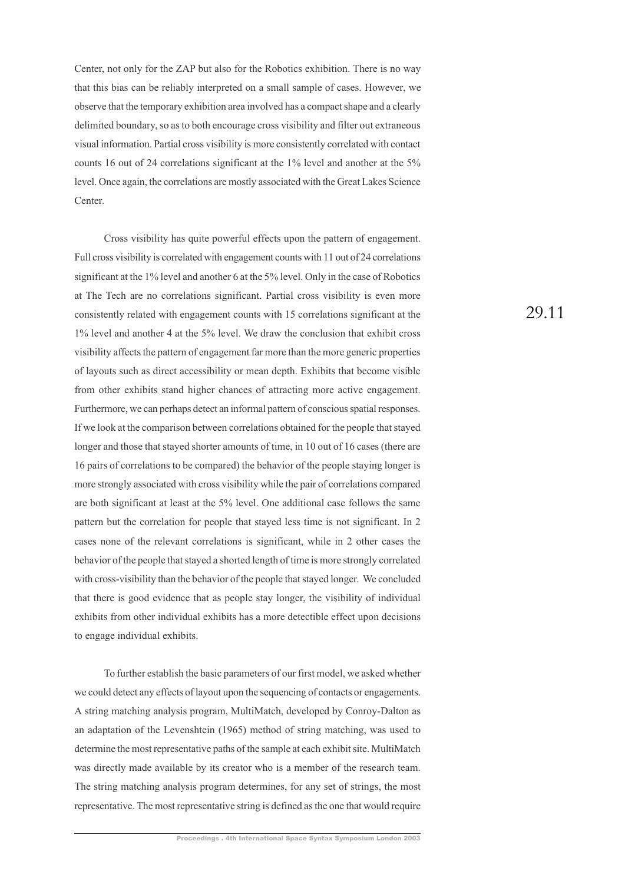Center, not only for the ZAP but also for the Robotics exhibition. There is no way that this bias can be reliably interpreted on a small sample of cases. However, we observe that the temporary exhibition area involved has a compact shape and a clearly delimited boundary, so as to both encourage cross visibility and filter out extraneous visual information. Partial cross visibility is more consistently correlated with contact counts 16 out of 24 correlations significant at the 1% level and another at the 5% level. Once again, the correlations are mostly associated with the Great Lakes Science Center.

Cross visibility has quite powerful effects upon the pattern of engagement. Full cross visibility is correlated with engagement counts with 11 out of 24 correlations significant at the 1% level and another 6 at the 5% level. Only in the case of Robotics at The Tech are no correlations significant. Partial cross visibility is even more consistently related with engagement counts with 15 correlations significant at the 1% level and another 4 at the 5% level. We draw the conclusion that exhibit cross visibility affects the pattern of engagement far more than the more generic properties of layouts such as direct accessibility or mean depth. Exhibits that become visible from other exhibits stand higher chances of attracting more active engagement. Furthermore, we can perhaps detect an informal pattern of conscious spatial responses. If we look at the comparison between correlations obtained for the people that stayed longer and those that stayed shorter amounts of time, in 10 out of 16 cases (there are 16 pairs of correlations to be compared) the behavior of the people staying longer is more strongly associated with cross visibility while the pair of correlations compared are both significant at least at the 5% level. One additional case follows the same pattern but the correlation for people that stayed less time is not significant. In 2 cases none of the relevant correlations is significant, while in 2 other cases the behavior of the people that stayed a shorted length of time is more strongly correlated with cross-visibility than the behavior of the people that stayed longer. We concluded that there is good evidence that as people stay longer, the visibility of individual exhibits from other individual exhibits has a more detectible effect upon decisions to engage individual exhibits.

To further establish the basic parameters of our first model, we asked whether we could detect any effects of layout upon the sequencing of contacts or engagements. A string matching analysis program, MultiMatch, developed by Conroy-Dalton as an adaptation of the Levenshtein (1965) method of string matching, was used to determine the most representative paths of the sample at each exhibit site. MultiMatch was directly made available by its creator who is a member of the research team. The string matching analysis program determines, for any set of strings, the most representative. The most representative string is defined as the one that would require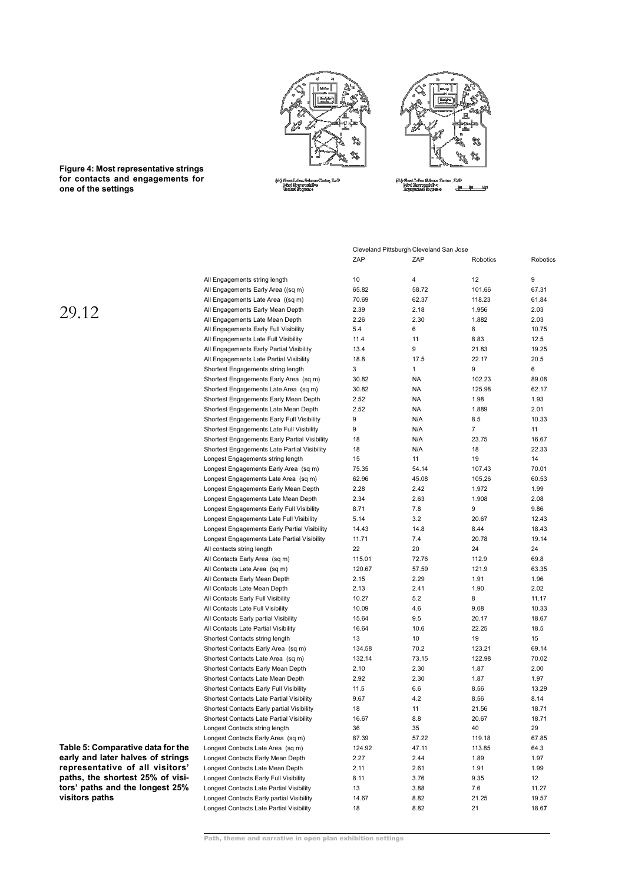



**Figure 4: Most representative strings for contacts and engagements for one of the settings**

Cleveland Pittsburgh Cleveland San Jose

|                                               | ZAP    | ZAP            | Robotics | Robotics |
|-----------------------------------------------|--------|----------------|----------|----------|
| All Engagements string length                 | 10     | $\overline{4}$ | 12       | 9        |
| All Engagements Early Area ((sq m)            | 65.82  | 58.72          | 101.66   | 67.31    |
| All Engagements Late Area ((sq m)             | 70.69  | 62.37          | 118.23   | 61.84    |
| All Engagements Early Mean Depth              | 2.39   | 2.18           | 1.956    | 2.03     |
| All Engagements Late Mean Depth               | 2.26   | 2.30           | 1.882    | 2.03     |
| All Engagements Early Full Visibility         | 5.4    | 6              | 8        | 10.75    |
| All Engagements Late Full Visibility          | 11.4   | 11             | 8.83     | 12.5     |
| All Engagements Early Partial Visibility      | 13.4   | 9              | 21.83    | 19.25    |
| All Engagements Late Partial Visibility       | 18.8   | 17.5           | 22.17    | 20.5     |
| Shortest Engagements string length            | 3      | $\mathbf{1}$   | 9        | 6        |
| Shortest Engagements Early Area (sq m)        | 30.82  | NA             | 102.23   | 89.08    |
| Shortest Engagements Late Area (sq m)         | 30.82  | NA             | 125.98   | 62.17    |
| Shortest Engagements Early Mean Depth         | 2.52   | NA             | 1.98     | 1.93     |
| Shortest Engagements Late Mean Depth          | 2.52   | NA             | 1.889    | 2.01     |
| Shortest Engagements Early Full Visibility    | 9      | N/A            | 8.5      | 10.33    |
| Shortest Engagements Late Full Visibility     | 9      | N/A            | 7        | 11       |
| Shortest Engagements Early Partial Visibility | 18     | N/A            | 23.75    | 16.67    |
| Shortest Engagements Late Partial Visibility  | 18     | N/A            | 18       | 22.33    |
| Longest Engagements string length             | 15     | 11             | 19       | 14       |
| Longest Engagements Early Area (sq m)         | 75.35  | 54.14          | 107.43   | 70.01    |
| Longest Engagements Late Area (sq m)          | 62.96  | 45.08          | 105,26   | 60.53    |
| Longest Engagements Early Mean Depth          | 2.28   | 2.42           | 1.972    | 1.99     |
| Longest Engagements Late Mean Depth           | 2.34   | 2.63           | 1.908    | 2.08     |
| Longest Engagements Early Full Visibility     | 8.71   | 7.8            | 9        | 9.86     |
| Longest Engagements Late Full Visibility      | 5.14   | 3.2            | 20.67    | 12.43    |
| Longest Engagements Early Partial Visibility  | 14.43  | 14.8           | 8.44     | 18.43    |
| Longest Engagements Late Partial Visibility   | 11.71  | 7.4            | 20.78    | 19.14    |
| All contacts string length                    | 22     | 20             | 24       | 24       |
| All Contacts Early Area (sq m)                | 115.01 | 72.76          | 112.9    | 69.8     |
| All Contacts Late Area (sq m)                 | 120.67 | 57.59          | 121.9    | 63.35    |
| All Contacts Early Mean Depth                 | 2.15   | 2.29           | 1.91     | 1.96     |
| All Contacts Late Mean Depth                  | 2.13   | 2.41           | 1.90     | 2.02     |
| All Contacts Early Full Visibility            | 10.27  | 5.2            | 8        | 11.17    |
| All Contacts Late Full Visibility             | 10.09  | 4.6            | 9.08     | 10.33    |
| All Contacts Early partial Visibility         | 15.64  | 9.5            | 20.17    | 18.67    |
| All Contacts Late Partial Visibility          | 16.64  | 10.6           | 22.25    | 18.5     |
| Shortest Contacts string length               | 13     | 10             | 19       | 15       |
| Shortest Contacts Early Area (sq m)           | 134.58 | 70.2           | 123.21   | 69.14    |
| Shortest Contacts Late Area (sq m)            | 132.14 | 73.15          | 122.98   | 70.02    |
| Shortest Contacts Early Mean Depth            | 2.10   | 2.30           | 1.87     | 2.00     |
| Shortest Contacts Late Mean Depth             | 2.92   | 2.30           | 1.87     | 1.97     |
| Shortest Contacts Early Full Visibility       | 11.5   | 6.6            | 8.56     | 13.29    |
| Shortest Contacts Late Partial Visibility     | 9.67   | 4.2            | 8.56     | 8.14     |
| Shortest Contacts Early partial Visibility    | 18     | 11             | 21.56    | 18.71    |
| Shortest Contacts Late Partial Visibility     | 16.67  | 8.8            | 20.67    | 18.71    |
| Longest Contacts string length                | 36     | 35             | 40       | 29       |
| Longest Contacts Early Area (sq m)            | 87.39  | 57.22          | 119.18   | 67.85    |
| Longest Contacts Late Area (sq m)             | 124.92 | 47.11          | 113.85   | 64.3     |
| Longest Contacts Early Mean Depth             | 2.27   | 2.44           | 1.89     | 1.97     |
| Longest Contacts Late Mean Depth              | 2.11   | 2.61           | 1.91     | 1.99     |
| Longest Contacts Early Full Visibility        | 8.11   | 3.76           | 9.35     | 12       |
| Longest Contacts Late Partial Visibility      | 13     | 3.88           | 7.6      | 11.27    |
| Longest Contacts Early partial Visibility     | 14.67  | 8.82           | 21.25    | 19.57    |
| Longest Contacts Late Partial Visibility      | 18     | 8.82           | 21       | 18.67    |
|                                               |        |                |          |          |

29.12

**Table 5: Comparative data for the early and later halves of strings representative of all visitors' paths, the shortest 25% of visitors' paths and the longest 25% visitors paths**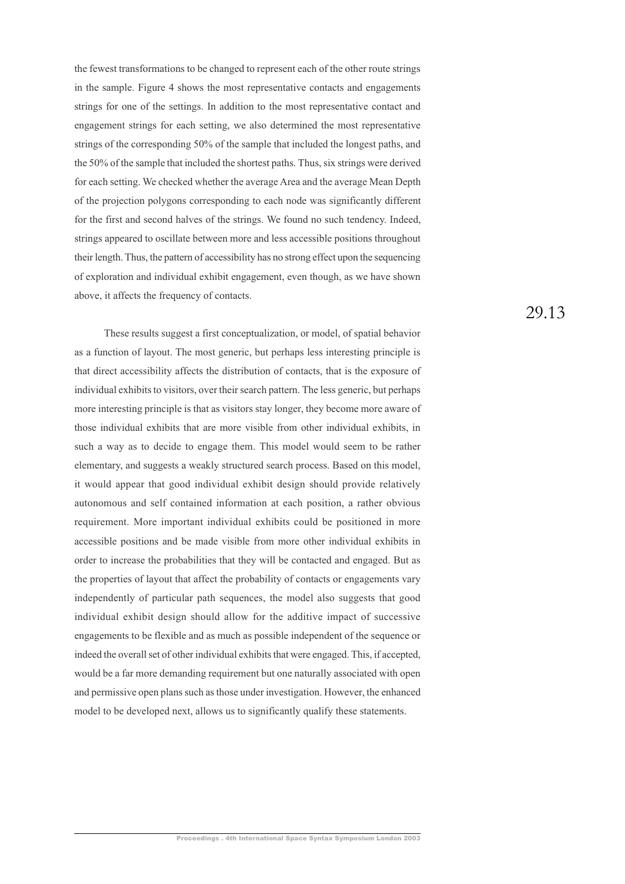the fewest transformations to be changed to represent each of the other route strings in the sample. Figure 4 shows the most representative contacts and engagements strings for one of the settings. In addition to the most representative contact and engagement strings for each setting, we also determined the most representative strings of the corresponding 50% of the sample that included the longest paths, and the 50% of the sample that included the shortest paths. Thus, six strings were derived for each setting. We checked whether the average Area and the average Mean Depth of the projection polygons corresponding to each node was significantly different for the first and second halves of the strings. We found no such tendency. Indeed, strings appeared to oscillate between more and less accessible positions throughout their length. Thus, the pattern of accessibility has no strong effect upon the sequencing of exploration and individual exhibit engagement, even though, as we have shown above, it affects the frequency of contacts.

These results suggest a first conceptualization, or model, of spatial behavior as a function of layout. The most generic, but perhaps less interesting principle is that direct accessibility affects the distribution of contacts, that is the exposure of individual exhibits to visitors, over their search pattern. The less generic, but perhaps more interesting principle is that as visitors stay longer, they become more aware of those individual exhibits that are more visible from other individual exhibits, in such a way as to decide to engage them. This model would seem to be rather elementary, and suggests a weakly structured search process. Based on this model, it would appear that good individual exhibit design should provide relatively autonomous and self contained information at each position, a rather obvious requirement. More important individual exhibits could be positioned in more accessible positions and be made visible from more other individual exhibits in order to increase the probabilities that they will be contacted and engaged. But as the properties of layout that affect the probability of contacts or engagements vary independently of particular path sequences, the model also suggests that good individual exhibit design should allow for the additive impact of successive engagements to be flexible and as much as possible independent of the sequence or indeed the overall set of other individual exhibits that were engaged. This, if accepted, would be a far more demanding requirement but one naturally associated with open and permissive open plans such as those under investigation. However, the enhanced model to be developed next, allows us to significantly qualify these statements.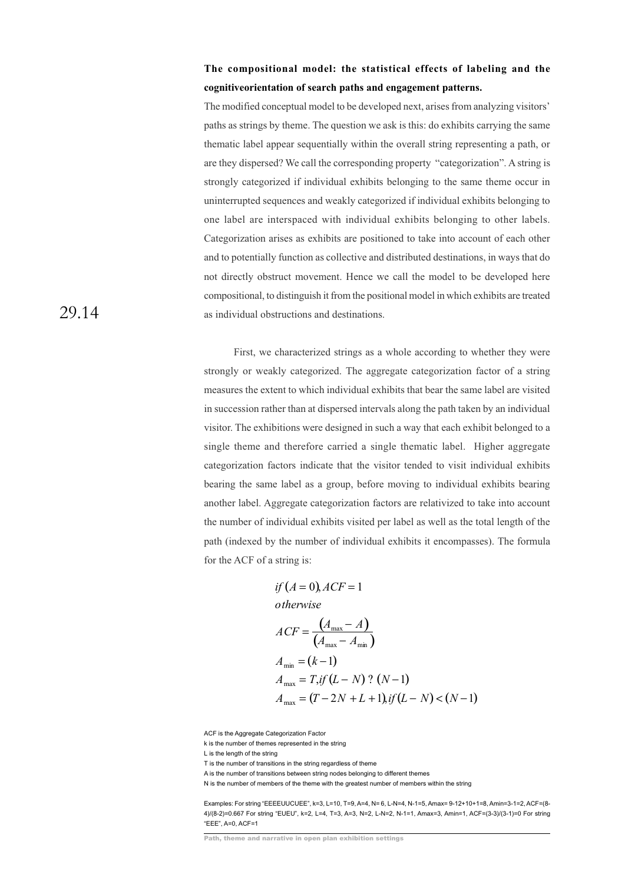# **The compositional model: the statistical effects of labeling and the cognitiveorientation of search paths and engagement patterns.**

The modified conceptual model to be developed next, arises from analyzing visitors' paths as strings by theme. The question we ask is this: do exhibits carrying the same thematic label appear sequentially within the overall string representing a path, or are they dispersed? We call the corresponding property "categorization". A string is strongly categorized if individual exhibits belonging to the same theme occur in uninterrupted sequences and weakly categorized if individual exhibits belonging to one label are interspaced with individual exhibits belonging to other labels. Categorization arises as exhibits are positioned to take into account of each other and to potentially function as collective and distributed destinations, in ways that do not directly obstruct movement. Hence we call the model to be developed here compositional, to distinguish it from the positional model in which exhibits are treated as individual obstructions and destinations.

First, we characterized strings as a whole according to whether they were strongly or weakly categorized. The aggregate categorization factor of a string measures the extent to which individual exhibits that bear the same label are visited in succession rather than at dispersed intervals along the path taken by an individual visitor. The exhibitions were designed in such a way that each exhibit belonged to a single theme and therefore carried a single thematic label. Higher aggregate categorization factors indicate that the visitor tended to visit individual exhibits bearing the same label as a group, before moving to individual exhibits bearing another label. Aggregate categorization factors are relativized to take into account the number of individual exhibits visited per label as well as the total length of the path (indexed by the number of individual exhibits it encompasses). The formula for the ACF of a string is:

if 
$$
(A = 0)
$$
,  $ACF = 1$   
\notherwise  
\n
$$
ACF = \frac{(A_{\text{max}} - A)}{(A_{\text{max}} - A_{\text{min}})}
$$
\n
$$
A_{\text{min}} = (k - 1)
$$
\n
$$
A_{\text{max}} = T, if (L - N) ? (N - 1)
$$
\n
$$
A_{\text{max}} = (T - 2N + L + 1), if (L - N) < (N - 1)
$$

ACF is the Aggregate Categorization Factor

k is the number of themes represented in the string

L is the length of the string

T is the number of transitions in the string regardless of theme

A is the number of transitions between string nodes belonging to different themes

N is the number of members of the theme with the greatest number of members within the string

Examples: For string "EEEEUUCUEE", k=3, L=10, T=9, A=4, N= 6, L-N=4, N-1=5, Amax= 9-12+10+1=8, Amin=3-1=2, ACF=(8- 4)/(8-2)=0.667 For string "EUEU", k=2, L=4, T=3, A=3, N=2, L-N=2, N-1=1, Amax=3, Amin=1, ACF=(3-3)/(3-1)=0 For string "EEE", A=0, ACF=1

Path, theme and narrative in open plan exhibition settings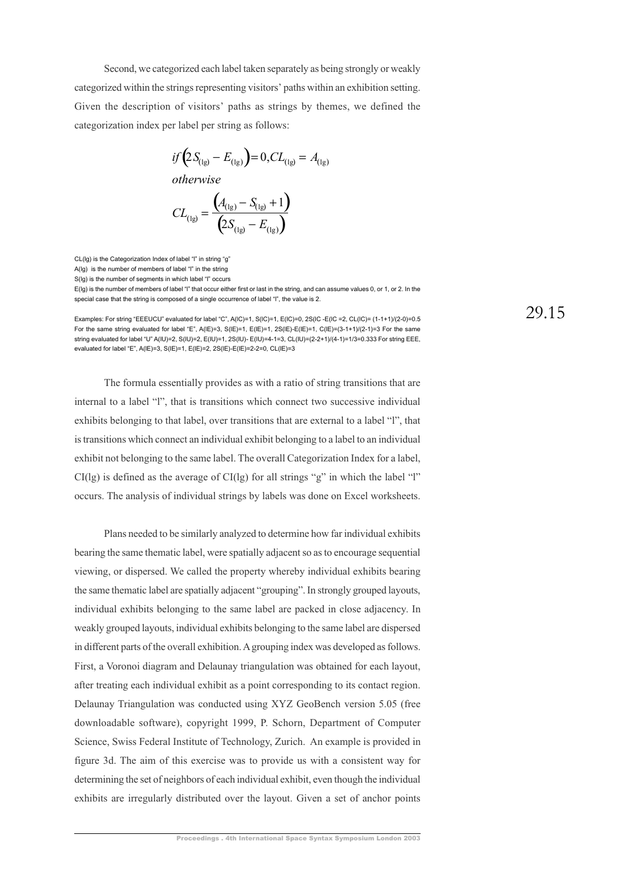Second, we categorized each label taken separately as being strongly or weakly categorized within the strings representing visitors' paths within an exhibition setting. Given the description of visitors' paths as strings by themes, we defined the categorization index per label per string as follows:

$$
if (2S_{(1g)} - E_{(1g)}) = 0, CL_{(1g)} = A_{(1g)}
$$
  
otherwise  

$$
CI = \frac{(A_{(1g)} - S_{(1g)} + 1)}{}
$$

$$
CL_{(1g)} = \frac{X_{(1g)} - S_{(1g)} + 1}{\left(2S_{(1g)} - E_{(1g)}\right)}
$$

CL(lg) is the Categorization Index of label "l" in string "g"

A(lg) is the number of members of label "l" in the string

S(lg) is the number of segments in which label "l" occurs

E(lg) is the number of members of label "l" that occur either first or last in the string, and can assume values 0, or 1, or 2. In the special case that the string is composed of a single occurrence of label "l", the value is 2.

Examples: For string "EEEUCU" evaluated for label "C", A(lC)=1, S(lC)=1, E(lC)=0, 2S(lC -E(lC =2, CL(lC)= (1-1+1)/(2-0)=0.5 For the same string evaluated for label "E", A(IE)=3, S(IE)=1, E(IE)=1, 2S(IE)-E(IE)=1, C(IE)=(3-1+1)/(2-1)=3 For the same string evaluated for label "U" A(lU)=2, S(lU)=2, E(lU)=1, 2S(lU)- E(lU)=4-1=3, CL(lU)=(2-2+1)/(4-1)=1/3=0.333 For string EEE, evaluated for label "E", A(lE)=3, S(lE)=1, E(lE)=2, 2S(lE)-E(lE)=2-2=0, CL(lE)=3

The formula essentially provides as with a ratio of string transitions that are internal to a label "l", that is transitions which connect two successive individual exhibits belonging to that label, over transitions that are external to a label "l", that is transitions which connect an individual exhibit belonging to a label to an individual exhibit not belonging to the same label. The overall Categorization Index for a label,  $CI(lg)$  is defined as the average of  $CI(lg)$  for all strings "g" in which the label "l" occurs. The analysis of individual strings by labels was done on Excel worksheets.

Plans needed to be similarly analyzed to determine how far individual exhibits bearing the same thematic label, were spatially adjacent so as to encourage sequential viewing, or dispersed. We called the property whereby individual exhibits bearing the same thematic label are spatially adjacent "grouping". In strongly grouped layouts, individual exhibits belonging to the same label are packed in close adjacency. In weakly grouped layouts, individual exhibits belonging to the same label are dispersed in different parts of the overall exhibition. A grouping index was developed as follows. First, a Voronoi diagram and Delaunay triangulation was obtained for each layout, after treating each individual exhibit as a point corresponding to its contact region. Delaunay Triangulation was conducted using XYZ GeoBench version 5.05 (free downloadable software), copyright 1999, P. Schorn, Department of Computer Science, Swiss Federal Institute of Technology, Zurich. An example is provided in figure 3d. The aim of this exercise was to provide us with a consistent way for determining the set of neighbors of each individual exhibit, even though the individual exhibits are irregularly distributed over the layout. Given a set of anchor points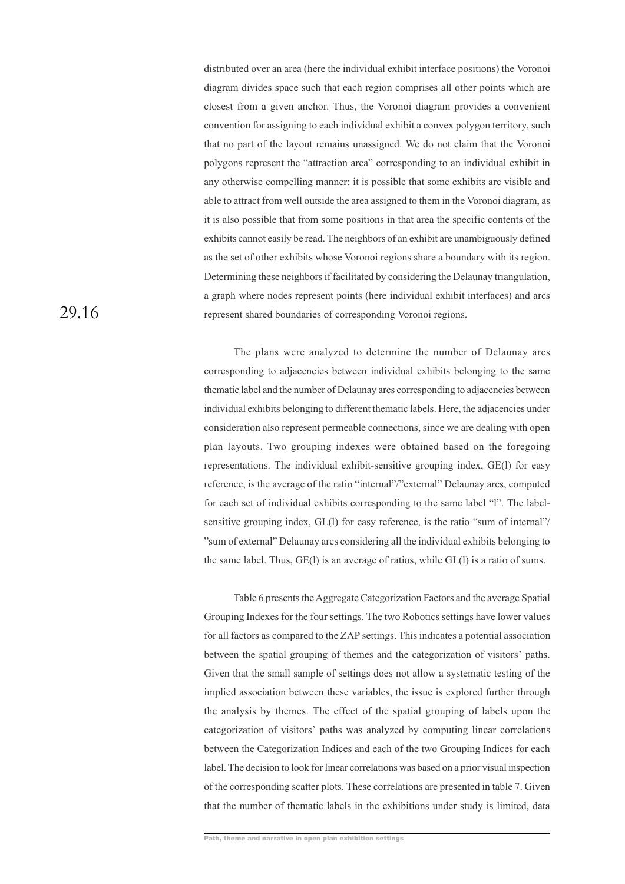distributed over an area (here the individual exhibit interface positions) the Voronoi diagram divides space such that each region comprises all other points which are closest from a given anchor. Thus, the Voronoi diagram provides a convenient convention for assigning to each individual exhibit a convex polygon territory, such that no part of the layout remains unassigned. We do not claim that the Voronoi polygons represent the "attraction area" corresponding to an individual exhibit in any otherwise compelling manner: it is possible that some exhibits are visible and able to attract from well outside the area assigned to them in the Voronoi diagram, as it is also possible that from some positions in that area the specific contents of the exhibits cannot easily be read. The neighbors of an exhibit are unambiguously defined as the set of other exhibits whose Voronoi regions share a boundary with its region. Determining these neighbors if facilitated by considering the Delaunay triangulation, a graph where nodes represent points (here individual exhibit interfaces) and arcs represent shared boundaries of corresponding Voronoi regions.

The plans were analyzed to determine the number of Delaunay arcs corresponding to adjacencies between individual exhibits belonging to the same thematic label and the number of Delaunay arcs corresponding to adjacencies between individual exhibits belonging to different thematic labels. Here, the adjacencies under consideration also represent permeable connections, since we are dealing with open plan layouts. Two grouping indexes were obtained based on the foregoing representations. The individual exhibit-sensitive grouping index, GE(l) for easy reference, is the average of the ratio "internal"/"external" Delaunay arcs, computed for each set of individual exhibits corresponding to the same label "l". The labelsensitive grouping index, GL(l) for easy reference, is the ratio "sum of internal"/ "sum of external" Delaunay arcs considering all the individual exhibits belonging to the same label. Thus, GE(l) is an average of ratios, while GL(l) is a ratio of sums.

Table 6 presents the Aggregate Categorization Factors and the average Spatial Grouping Indexes for the four settings. The two Robotics settings have lower values for all factors as compared to the ZAP settings. This indicates a potential association between the spatial grouping of themes and the categorization of visitors' paths. Given that the small sample of settings does not allow a systematic testing of the implied association between these variables, the issue is explored further through the analysis by themes. The effect of the spatial grouping of labels upon the categorization of visitors' paths was analyzed by computing linear correlations between the Categorization Indices and each of the two Grouping Indices for each label. The decision to look for linear correlations was based on a prior visual inspection of the corresponding scatter plots. These correlations are presented in table 7. Given that the number of thematic labels in the exhibitions under study is limited, data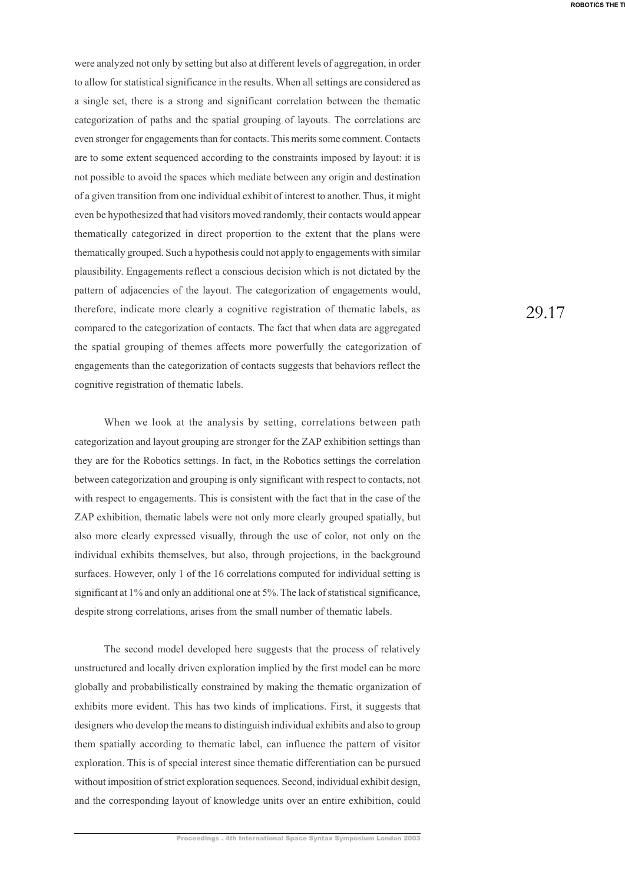were analyzed not only by setting but also at different levels of aggregation, in order to allow for statistical significance in the results. When all settings are considered as a single set, there is a strong and significant correlation between the thematic categorization of paths and the spatial grouping of layouts. The correlations are even stronger for engagements than for contacts. This merits some comment. Contacts are to some extent sequenced according to the constraints imposed by layout: it is not possible to avoid the spaces which mediate between any origin and destination of a given transition from one individual exhibit of interest to another. Thus, it might even be hypothesized that had visitors moved randomly, their contacts would appear thematically categorized in direct proportion to the extent that the plans were thematically grouped. Such a hypothesis could not apply to engagements with similar plausibility. Engagements reflect a conscious decision which is not dictated by the pattern of adjacencies of the layout. The categorization of engagements would, therefore, indicate more clearly a cognitive registration of thematic labels, as compared to the categorization of contacts. The fact that when data are aggregated the spatial grouping of themes affects more powerfully the categorization of engagements than the categorization of contacts suggests that behaviors reflect the cognitive registration of thematic labels.

When we look at the analysis by setting, correlations between path categorization and layout grouping are stronger for the ZAP exhibition settings than they are for the Robotics settings. In fact, in the Robotics settings the correlation between categorization and grouping is only significant with respect to contacts, not with respect to engagements. This is consistent with the fact that in the case of the ZAP exhibition, thematic labels were not only more clearly grouped spatially, but also more clearly expressed visually, through the use of color, not only on the individual exhibits themselves, but also, through projections, in the background surfaces. However, only 1 of the 16 correlations computed for individual setting is significant at 1% and only an additional one at 5%. The lack of statistical significance, despite strong correlations, arises from the small number of thematic labels.

The second model developed here suggests that the process of relatively unstructured and locally driven exploration implied by the first model can be more globally and probabilistically constrained by making the thematic organization of exhibits more evident. This has two kinds of implications. First, it suggests that designers who develop the means to distinguish individual exhibits and also to group them spatially according to thematic label, can influence the pattern of visitor exploration. This is of special interest since thematic differentiation can be pursued without imposition of strict exploration sequences. Second, individual exhibit design, and the corresponding layout of knowledge units over an entire exhibition, could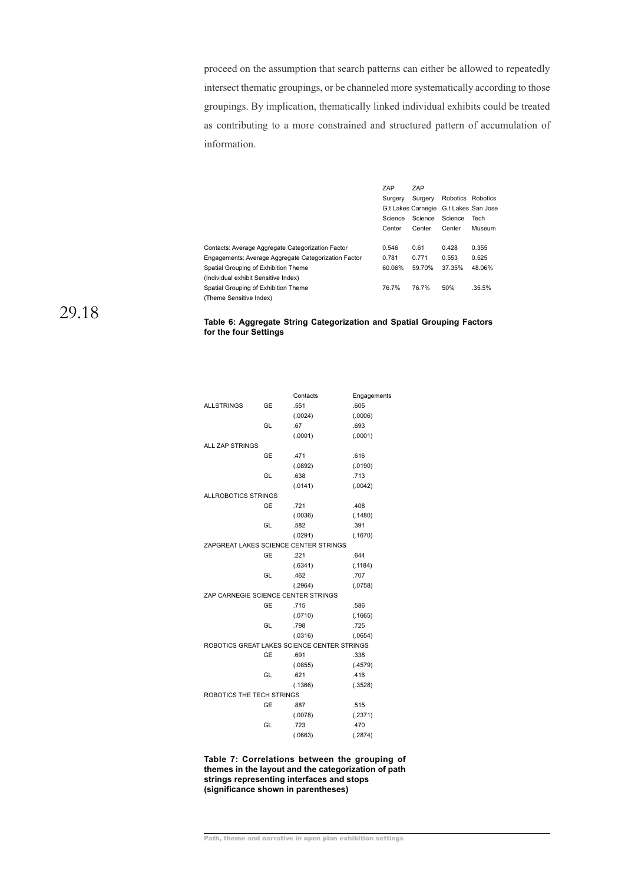proceed on the assumption that search patterns can either be allowed to repeatedly intersect thematic groupings, or be channeled more systematically according to those groupings. By implication, thematically linked individual exhibits could be treated as contributing to a more constrained and structured pattern of accumulation of information.

|                                                      | ZAP     | ZAP                                   |                   |        |
|------------------------------------------------------|---------|---------------------------------------|-------------------|--------|
|                                                      | Surgery | Surgery                               | Robotics Robotics |        |
|                                                      |         | G.t Lakes Carnegie G.t Lakes San Jose |                   |        |
|                                                      | Science | Science                               | Science           | Tech   |
|                                                      | Center  | Center                                | Center            | Museum |
|                                                      |         |                                       |                   |        |
| Contacts: Average Aggregate Categorization Factor    | 0.546   | 0.61                                  | 0.428             | 0.355  |
| Engagements: Average Aggregate Categorization Factor | 0.781   | 0.771                                 | 0.553             | 0.525  |
| Spatial Grouping of Exhibition Theme                 | 60.06%  | 59.70%                                | 37.35%            | 48.06% |
| (Individual exhibit Sensitive Index)                 |         |                                       |                   |        |
| Spatial Grouping of Exhibition Theme                 | 76.7%   | 76.7%                                 | 50%               | .35.5% |
| (Theme Sensitive Index)                              |         |                                       |                   |        |

# 29.18

# **Table 6: Aggregate String Categorization and Spatial Grouping Factors for the four Settings**

|                                     |           | Contacts                                    | Engagements |
|-------------------------------------|-----------|---------------------------------------------|-------------|
| <b>ALLSTRINGS</b>                   | GE        | .551                                        | .605        |
|                                     |           | (.0024)                                     | (.0006)     |
|                                     | GL        | .67                                         | .693        |
|                                     |           | (.0001)                                     | (.0001)     |
| <b>ALL ZAP STRINGS</b>              |           |                                             |             |
|                                     | GE        | .471                                        | .616        |
|                                     |           | (.0892)                                     | (.0190)     |
|                                     | GL        | .638                                        | .713        |
|                                     |           | (.0141)                                     | (.0042)     |
| <b>ALLROBOTICS STRINGS</b>          |           |                                             |             |
|                                     | GE        | .721                                        | .408        |
|                                     |           | (.0036)                                     | (.1480)     |
|                                     | GL        | .582                                        | .391        |
|                                     |           | (.0291)                                     | (.1670)     |
|                                     |           | ZAPGREAT LAKES SCIENCE CENTER STRINGS       |             |
|                                     | GE        | .221                                        | .644        |
|                                     |           | (.6341)                                     | (.1184)     |
|                                     | GL        | .462                                        | .707        |
|                                     |           | (.2964)                                     | (.0758)     |
| ZAP CARNEGIE SCIENCE CENTER STRINGS |           |                                             |             |
|                                     | <b>GE</b> | .715                                        | .586        |
|                                     |           | (.0710)                                     | (.1665)     |
|                                     | GL        | .798                                        | .725        |
|                                     |           | (.0316)                                     | (.0654)     |
|                                     |           | ROBOTICS GREAT LAKES SCIENCE CENTER STRINGS |             |
|                                     | GE        | .691                                        | .338        |
|                                     |           | (.0855)                                     | (.4579)     |
|                                     | GL        | .621                                        | .416        |
|                                     |           | (.1366)                                     | (.3528)     |
| ROBOTICS THE TECH STRINGS           |           |                                             |             |
|                                     | GE        | .887                                        | .515        |
|                                     |           | (.0078)                                     | (.2371)     |
|                                     | GL        | .723                                        | .470        |
|                                     |           | (.0663)                                     | (.2874)     |
|                                     |           |                                             |             |

**Table 7: Correlations between the grouping of themes in the layout and the categorization of path strings representing interfaces and stops (significance shown in parentheses)**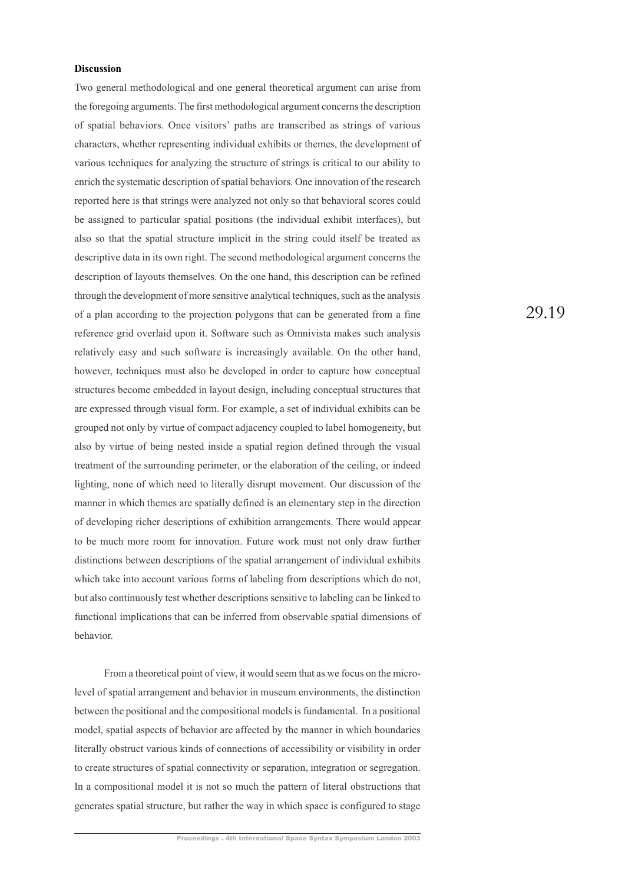# **Discussion**

Two general methodological and one general theoretical argument can arise from the foregoing arguments. The first methodological argument concerns the description of spatial behaviors. Once visitors' paths are transcribed as strings of various characters, whether representing individual exhibits or themes, the development of various techniques for analyzing the structure of strings is critical to our ability to enrich the systematic description of spatial behaviors. One innovation of the research reported here is that strings were analyzed not only so that behavioral scores could be assigned to particular spatial positions (the individual exhibit interfaces), but also so that the spatial structure implicit in the string could itself be treated as descriptive data in its own right. The second methodological argument concerns the description of layouts themselves. On the one hand, this description can be refined through the development of more sensitive analytical techniques, such as the analysis of a plan according to the projection polygons that can be generated from a fine reference grid overlaid upon it. Software such as Omnivista makes such analysis relatively easy and such software is increasingly available. On the other hand, however, techniques must also be developed in order to capture how conceptual structures become embedded in layout design, including conceptual structures that are expressed through visual form. For example, a set of individual exhibits can be grouped not only by virtue of compact adjacency coupled to label homogeneity, but also by virtue of being nested inside a spatial region defined through the visual treatment of the surrounding perimeter, or the elaboration of the ceiling, or indeed lighting, none of which need to literally disrupt movement. Our discussion of the manner in which themes are spatially defined is an elementary step in the direction of developing richer descriptions of exhibition arrangements. There would appear to be much more room for innovation. Future work must not only draw further distinctions between descriptions of the spatial arrangement of individual exhibits which take into account various forms of labeling from descriptions which do not, but also continuously test whether descriptions sensitive to labeling can be linked to functional implications that can be inferred from observable spatial dimensions of behavior.

From a theoretical point of view, it would seem that as we focus on the microlevel of spatial arrangement and behavior in museum environments, the distinction between the positional and the compositional models is fundamental. In a positional model, spatial aspects of behavior are affected by the manner in which boundaries literally obstruct various kinds of connections of accessibility or visibility in order to create structures of spatial connectivity or separation, integration or segregation. In a compositional model it is not so much the pattern of literal obstructions that generates spatial structure, but rather the way in which space is configured to stage